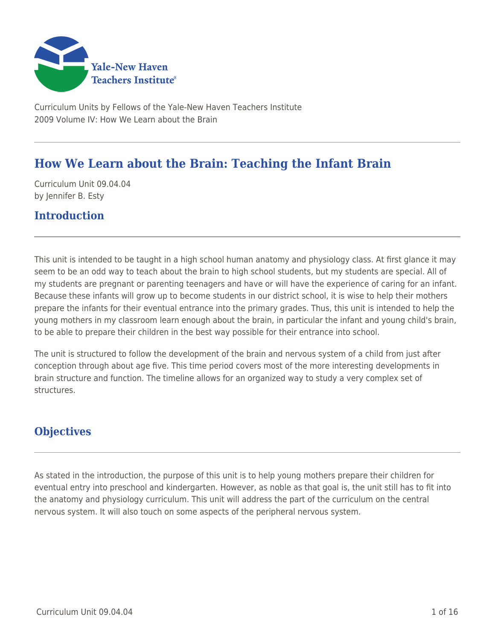

Curriculum Units by Fellows of the Yale-New Haven Teachers Institute 2009 Volume IV: How We Learn about the Brain

# **How We Learn about the Brain: Teaching the Infant Brain**

Curriculum Unit 09.04.04 by Jennifer B. Esty

## **Introduction**

This unit is intended to be taught in a high school human anatomy and physiology class. At first glance it may seem to be an odd way to teach about the brain to high school students, but my students are special. All of my students are pregnant or parenting teenagers and have or will have the experience of caring for an infant. Because these infants will grow up to become students in our district school, it is wise to help their mothers prepare the infants for their eventual entrance into the primary grades. Thus, this unit is intended to help the young mothers in my classroom learn enough about the brain, in particular the infant and young child's brain, to be able to prepare their children in the best way possible for their entrance into school.

The unit is structured to follow the development of the brain and nervous system of a child from just after conception through about age five. This time period covers most of the more interesting developments in brain structure and function. The timeline allows for an organized way to study a very complex set of structures.

## **Objectives**

As stated in the introduction, the purpose of this unit is to help young mothers prepare their children for eventual entry into preschool and kindergarten. However, as noble as that goal is, the unit still has to fit into the anatomy and physiology curriculum. This unit will address the part of the curriculum on the central nervous system. It will also touch on some aspects of the peripheral nervous system.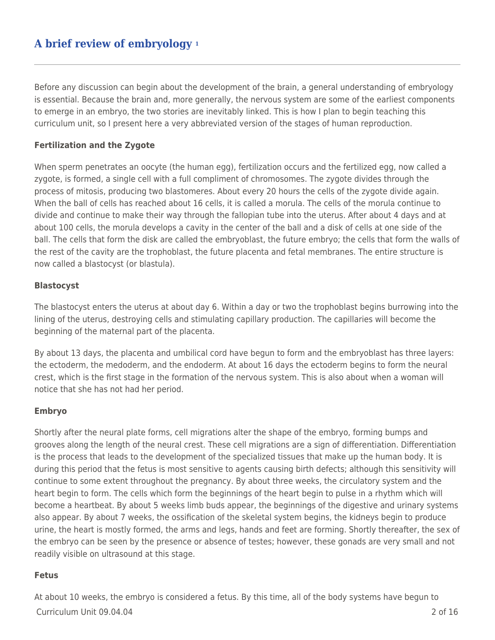# **A brief review of embryology <sup>1</sup>**

Before any discussion can begin about the development of the brain, a general understanding of embryology is essential. Because the brain and, more generally, the nervous system are some of the earliest components to emerge in an embryo, the two stories are inevitably linked. This is how I plan to begin teaching this curriculum unit, so I present here a very abbreviated version of the stages of human reproduction.

#### **Fertilization and the Zygote**

When sperm penetrates an oocyte (the human egg), fertilization occurs and the fertilized egg, now called a zygote, is formed, a single cell with a full compliment of chromosomes. The zygote divides through the process of mitosis, producing two blastomeres. About every 20 hours the cells of the zygote divide again. When the ball of cells has reached about 16 cells, it is called a morula. The cells of the morula continue to divide and continue to make their way through the fallopian tube into the uterus. After about 4 days and at about 100 cells, the morula develops a cavity in the center of the ball and a disk of cells at one side of the ball. The cells that form the disk are called the embryoblast, the future embryo; the cells that form the walls of the rest of the cavity are the trophoblast, the future placenta and fetal membranes. The entire structure is now called a blastocyst (or blastula).

#### **Blastocyst**

The blastocyst enters the uterus at about day 6. Within a day or two the trophoblast begins burrowing into the lining of the uterus, destroying cells and stimulating capillary production. The capillaries will become the beginning of the maternal part of the placenta.

By about 13 days, the placenta and umbilical cord have begun to form and the embryoblast has three layers: the ectoderm, the medoderm, and the endoderm. At about 16 days the ectoderm begins to form the neural crest, which is the first stage in the formation of the nervous system. This is also about when a woman will notice that she has not had her period.

#### **Embryo**

Shortly after the neural plate forms, cell migrations alter the shape of the embryo, forming bumps and grooves along the length of the neural crest. These cell migrations are a sign of differentiation. Differentiation is the process that leads to the development of the specialized tissues that make up the human body. It is during this period that the fetus is most sensitive to agents causing birth defects; although this sensitivity will continue to some extent throughout the pregnancy. By about three weeks, the circulatory system and the heart begin to form. The cells which form the beginnings of the heart begin to pulse in a rhythm which will become a heartbeat. By about 5 weeks limb buds appear, the beginnings of the digestive and urinary systems also appear. By about 7 weeks, the ossification of the skeletal system begins, the kidneys begin to produce urine, the heart is mostly formed, the arms and legs, hands and feet are forming. Shortly thereafter, the sex of the embryo can be seen by the presence or absence of testes; however, these gonads are very small and not readily visible on ultrasound at this stage.

#### **Fetus**

Curriculum Unit 09.04.04 2 of 16 At about 10 weeks, the embryo is considered a fetus. By this time, all of the body systems have begun to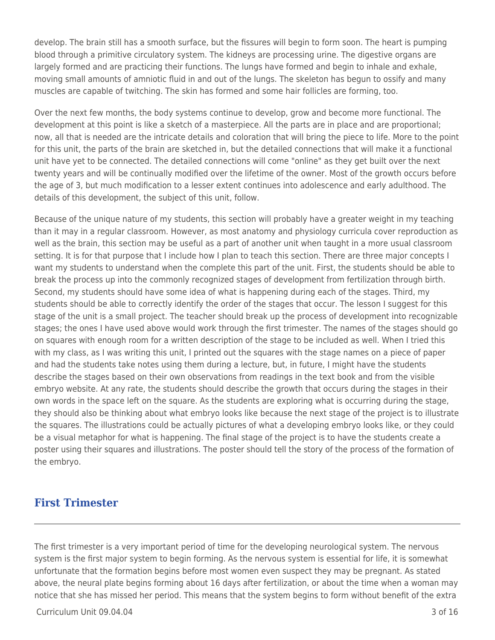develop. The brain still has a smooth surface, but the fissures will begin to form soon. The heart is pumping blood through a primitive circulatory system. The kidneys are processing urine. The digestive organs are largely formed and are practicing their functions. The lungs have formed and begin to inhale and exhale, moving small amounts of amniotic fluid in and out of the lungs. The skeleton has begun to ossify and many muscles are capable of twitching. The skin has formed and some hair follicles are forming, too.

Over the next few months, the body systems continue to develop, grow and become more functional. The development at this point is like a sketch of a masterpiece. All the parts are in place and are proportional; now, all that is needed are the intricate details and coloration that will bring the piece to life. More to the point for this unit, the parts of the brain are sketched in, but the detailed connections that will make it a functional unit have yet to be connected. The detailed connections will come "online" as they get built over the next twenty years and will be continually modified over the lifetime of the owner. Most of the growth occurs before the age of 3, but much modification to a lesser extent continues into adolescence and early adulthood. The details of this development, the subject of this unit, follow.

Because of the unique nature of my students, this section will probably have a greater weight in my teaching than it may in a regular classroom. However, as most anatomy and physiology curricula cover reproduction as well as the brain, this section may be useful as a part of another unit when taught in a more usual classroom setting. It is for that purpose that I include how I plan to teach this section. There are three major concepts I want my students to understand when the complete this part of the unit. First, the students should be able to break the process up into the commonly recognized stages of development from fertilization through birth. Second, my students should have some idea of what is happening during each of the stages. Third, my students should be able to correctly identify the order of the stages that occur. The lesson I suggest for this stage of the unit is a small project. The teacher should break up the process of development into recognizable stages; the ones I have used above would work through the first trimester. The names of the stages should go on squares with enough room for a written description of the stage to be included as well. When I tried this with my class, as I was writing this unit, I printed out the squares with the stage names on a piece of paper and had the students take notes using them during a lecture, but, in future, I might have the students describe the stages based on their own observations from readings in the text book and from the visible embryo website. At any rate, the students should describe the growth that occurs during the stages in their own words in the space left on the square. As the students are exploring what is occurring during the stage, they should also be thinking about what embryo looks like because the next stage of the project is to illustrate the squares. The illustrations could be actually pictures of what a developing embryo looks like, or they could be a visual metaphor for what is happening. The final stage of the project is to have the students create a poster using their squares and illustrations. The poster should tell the story of the process of the formation of the embryo.

### **First Trimester**

The first trimester is a very important period of time for the developing neurological system. The nervous system is the first major system to begin forming. As the nervous system is essential for life, it is somewhat unfortunate that the formation begins before most women even suspect they may be pregnant. As stated above, the neural plate begins forming about 16 days after fertilization, or about the time when a woman may notice that she has missed her period. This means that the system begins to form without benefit of the extra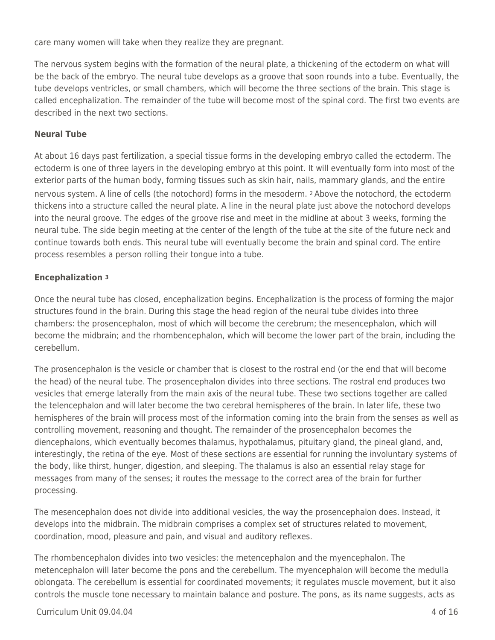care many women will take when they realize they are pregnant.

The nervous system begins with the formation of the neural plate, a thickening of the ectoderm on what will be the back of the embryo. The neural tube develops as a groove that soon rounds into a tube. Eventually, the tube develops ventricles, or small chambers, which will become the three sections of the brain. This stage is called encephalization. The remainder of the tube will become most of the spinal cord. The first two events are described in the next two sections.

### **Neural Tube**

At about 16 days past fertilization, a special tissue forms in the developing embryo called the ectoderm. The ectoderm is one of three layers in the developing embryo at this point. It will eventually form into most of the exterior parts of the human body, forming tissues such as skin hair, nails, mammary glands, and the entire nervous system. A line of cells (the notochord) forms in the mesoderm. 2 Above the notochord, the ectoderm thickens into a structure called the neural plate. A line in the neural plate just above the notochord develops into the neural groove. The edges of the groove rise and meet in the midline at about 3 weeks, forming the neural tube. The side begin meeting at the center of the length of the tube at the site of the future neck and continue towards both ends. This neural tube will eventually become the brain and spinal cord. The entire process resembles a person rolling their tongue into a tube.

### **Encephalization <sup>3</sup>**

Once the neural tube has closed, encephalization begins. Encephalization is the process of forming the major structures found in the brain. During this stage the head region of the neural tube divides into three chambers: the prosencephalon, most of which will become the cerebrum; the mesencephalon, which will become the midbrain; and the rhombencephalon, which will become the lower part of the brain, including the cerebellum.

The prosencephalon is the vesicle or chamber that is closest to the rostral end (or the end that will become the head) of the neural tube. The prosencephalon divides into three sections. The rostral end produces two vesicles that emerge laterally from the main axis of the neural tube. These two sections together are called the telencephalon and will later become the two cerebral hemispheres of the brain. In later life, these two hemispheres of the brain will process most of the information coming into the brain from the senses as well as controlling movement, reasoning and thought. The remainder of the prosencephalon becomes the diencephalons, which eventually becomes thalamus, hypothalamus, pituitary gland, the pineal gland, and, interestingly, the retina of the eye. Most of these sections are essential for running the involuntary systems of the body, like thirst, hunger, digestion, and sleeping. The thalamus is also an essential relay stage for messages from many of the senses; it routes the message to the correct area of the brain for further processing.

The mesencephalon does not divide into additional vesicles, the way the prosencephalon does. Instead, it develops into the midbrain. The midbrain comprises a complex set of structures related to movement, coordination, mood, pleasure and pain, and visual and auditory reflexes.

The rhombencephalon divides into two vesicles: the metencephalon and the myencephalon. The metencephalon will later become the pons and the cerebellum. The myencephalon will become the medulla oblongata. The cerebellum is essential for coordinated movements; it regulates muscle movement, but it also controls the muscle tone necessary to maintain balance and posture. The pons, as its name suggests, acts as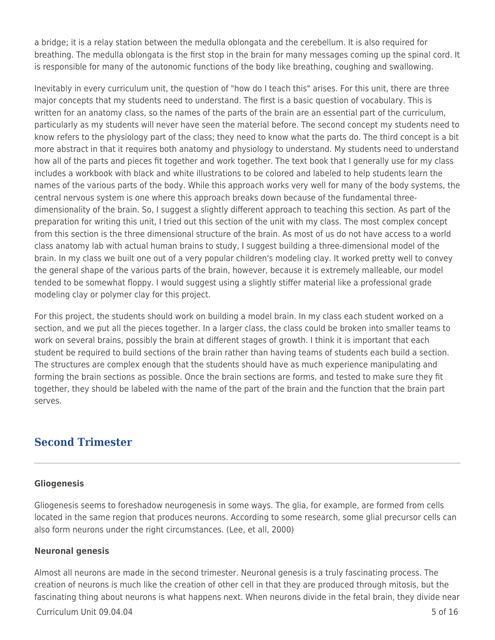a bridge; it is a relay station between the medulla oblongata and the cerebellum. It is also required for breathing. The medulla oblongata is the first stop in the brain for many messages coming up the spinal cord. It is responsible for many of the autonomic functions of the body like breathing, coughing and swallowing.

Inevitably in every curriculum unit, the question of "how do I teach this" arises. For this unit, there are three major concepts that my students need to understand. The first is a basic question of vocabulary. This is written for an anatomy class, so the names of the parts of the brain are an essential part of the curriculum, particularly as my students will never have seen the material before. The second concept my students need to know refers to the physiology part of the class; they need to know what the parts do. The third concept is a bit more abstract in that it requires both anatomy and physiology to understand. My students need to understand how all of the parts and pieces fit together and work together. The text book that I generally use for my class includes a workbook with black and white illustrations to be colored and labeled to help students learn the names of the various parts of the body. While this approach works very well for many of the body systems, the central nervous system is one where this approach breaks down because of the fundamental threedimensionality of the brain. So, I suggest a slightly different approach to teaching this section. As part of the preparation for writing this unit, I tried out this section of the unit with my class. The most complex concept from this section is the three dimensional structure of the brain. As most of us do not have access to a world class anatomy lab with actual human brains to study, I suggest building a three-dimensional model of the brain. In my class we built one out of a very popular children's modeling clay. It worked pretty well to convey the general shape of the various parts of the brain, however, because it is extremely malleable, our model tended to be somewhat floppy. I would suggest using a slightly stiffer material like a professional grade modeling clay or polymer clay for this project.

For this project, the students should work on building a model brain. In my class each student worked on a section, and we put all the pieces together. In a larger class, the class could be broken into smaller teams to work on several brains, possibly the brain at different stages of growth. I think it is important that each student be required to build sections of the brain rather than having teams of students each build a section. The structures are complex enough that the students should have as much experience manipulating and forming the brain sections as possible. Once the brain sections are forms, and tested to make sure they fit together, they should be labeled with the name of the part of the brain and the function that the brain part serves.

## **Second Trimester**

### **Gliogenesis**

Gliogenesis seems to foreshadow neurogenesis in some ways. The glia, for example, are formed from cells located in the same region that produces neurons. According to some research, some glial precursor cells can also form neurons under the right circumstances. (Lee, et all, 2000)

#### **Neuronal genesis**

Almost all neurons are made in the second trimester. Neuronal genesis is a truly fascinating process. The creation of neurons is much like the creation of other cell in that they are produced through mitosis, but the fascinating thing about neurons is what happens next. When neurons divide in the fetal brain, they divide near

 $Curir$ iulum Unit 09.04.04  $\sim$  5 of 16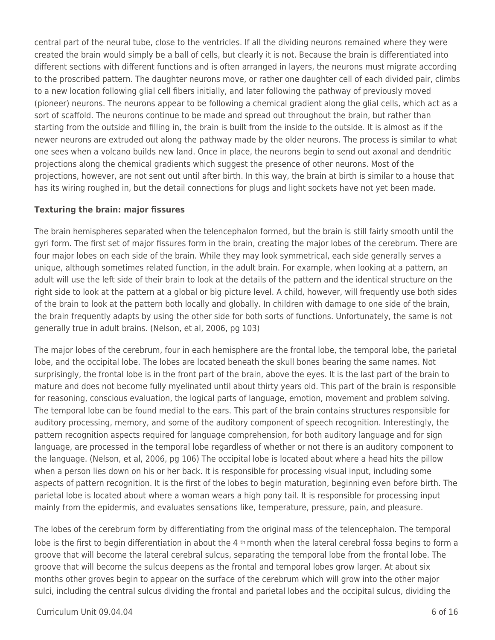central part of the neural tube, close to the ventricles. If all the dividing neurons remained where they were created the brain would simply be a ball of cells, but clearly it is not. Because the brain is differentiated into different sections with different functions and is often arranged in layers, the neurons must migrate according to the proscribed pattern. The daughter neurons move, or rather one daughter cell of each divided pair, climbs to a new location following glial cell fibers initially, and later following the pathway of previously moved (pioneer) neurons. The neurons appear to be following a chemical gradient along the glial cells, which act as a sort of scaffold. The neurons continue to be made and spread out throughout the brain, but rather than starting from the outside and filling in, the brain is built from the inside to the outside. It is almost as if the newer neurons are extruded out along the pathway made by the older neurons. The process is similar to what one sees when a volcano builds new land. Once in place, the neurons begin to send out axonal and dendritic projections along the chemical gradients which suggest the presence of other neurons. Most of the projections, however, are not sent out until after birth. In this way, the brain at birth is similar to a house that has its wiring roughed in, but the detail connections for plugs and light sockets have not yet been made.

### **Texturing the brain: major fissures**

The brain hemispheres separated when the telencephalon formed, but the brain is still fairly smooth until the gyri form. The first set of major fissures form in the brain, creating the major lobes of the cerebrum. There are four major lobes on each side of the brain. While they may look symmetrical, each side generally serves a unique, although sometimes related function, in the adult brain. For example, when looking at a pattern, an adult will use the left side of their brain to look at the details of the pattern and the identical structure on the right side to look at the pattern at a global or big picture level. A child, however, will frequently use both sides of the brain to look at the pattern both locally and globally. In children with damage to one side of the brain, the brain frequently adapts by using the other side for both sorts of functions. Unfortunately, the same is not generally true in adult brains. (Nelson, et al, 2006, pg 103)

The major lobes of the cerebrum, four in each hemisphere are the frontal lobe, the temporal lobe, the parietal lobe, and the occipital lobe. The lobes are located beneath the skull bones bearing the same names. Not surprisingly, the frontal lobe is in the front part of the brain, above the eyes. It is the last part of the brain to mature and does not become fully myelinated until about thirty years old. This part of the brain is responsible for reasoning, conscious evaluation, the logical parts of language, emotion, movement and problem solving. The temporal lobe can be found medial to the ears. This part of the brain contains structures responsible for auditory processing, memory, and some of the auditory component of speech recognition. Interestingly, the pattern recognition aspects required for language comprehension, for both auditory language and for sign language, are processed in the temporal lobe regardless of whether or not there is an auditory component to the language. (Nelson, et al, 2006, pg 106) The occipital lobe is located about where a head hits the pillow when a person lies down on his or her back. It is responsible for processing visual input, including some aspects of pattern recognition. It is the first of the lobes to begin maturation, beginning even before birth. The parietal lobe is located about where a woman wears a high pony tail. It is responsible for processing input mainly from the epidermis, and evaluates sensations like, temperature, pressure, pain, and pleasure.

The lobes of the cerebrum form by differentiating from the original mass of the telencephalon. The temporal lobe is the first to begin differentiation in about the 4  $th$  month when the lateral cerebral fossa begins to form a groove that will become the lateral cerebral sulcus, separating the temporal lobe from the frontal lobe. The groove that will become the sulcus deepens as the frontal and temporal lobes grow larger. At about six months other groves begin to appear on the surface of the cerebrum which will grow into the other major sulci, including the central sulcus dividing the frontal and parietal lobes and the occipital sulcus, dividing the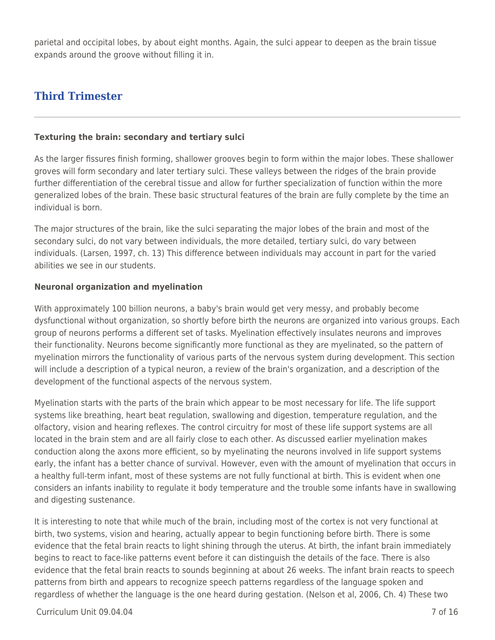parietal and occipital lobes, by about eight months. Again, the sulci appear to deepen as the brain tissue expands around the groove without filling it in.

# **Third Trimester**

#### **Texturing the brain: secondary and tertiary sulci**

As the larger fissures finish forming, shallower grooves begin to form within the major lobes. These shallower groves will form secondary and later tertiary sulci. These valleys between the ridges of the brain provide further differentiation of the cerebral tissue and allow for further specialization of function within the more generalized lobes of the brain. These basic structural features of the brain are fully complete by the time an individual is born.

The major structures of the brain, like the sulci separating the major lobes of the brain and most of the secondary sulci, do not vary between individuals, the more detailed, tertiary sulci, do vary between individuals. (Larsen, 1997, ch. 13) This difference between individuals may account in part for the varied abilities we see in our students.

#### **Neuronal organization and myelination**

With approximately 100 billion neurons, a baby's brain would get very messy, and probably become dysfunctional without organization, so shortly before birth the neurons are organized into various groups. Each group of neurons performs a different set of tasks. Myelination effectively insulates neurons and improves their functionality. Neurons become significantly more functional as they are myelinated, so the pattern of myelination mirrors the functionality of various parts of the nervous system during development. This section will include a description of a typical neuron, a review of the brain's organization, and a description of the development of the functional aspects of the nervous system.

Myelination starts with the parts of the brain which appear to be most necessary for life. The life support systems like breathing, heart beat regulation, swallowing and digestion, temperature regulation, and the olfactory, vision and hearing reflexes. The control circuitry for most of these life support systems are all located in the brain stem and are all fairly close to each other. As discussed earlier myelination makes conduction along the axons more efficient, so by myelinating the neurons involved in life support systems early, the infant has a better chance of survival. However, even with the amount of myelination that occurs in a healthy full-term infant, most of these systems are not fully functional at birth. This is evident when one considers an infants inability to regulate it body temperature and the trouble some infants have in swallowing and digesting sustenance.

It is interesting to note that while much of the brain, including most of the cortex is not very functional at birth, two systems, vision and hearing, actually appear to begin functioning before birth. There is some evidence that the fetal brain reacts to light shining through the uterus. At birth, the infant brain immediately begins to react to face-like patterns event before it can distinguish the details of the face. There is also evidence that the fetal brain reacts to sounds beginning at about 26 weeks. The infant brain reacts to speech patterns from birth and appears to recognize speech patterns regardless of the language spoken and regardless of whether the language is the one heard during gestation. (Nelson et al, 2006, Ch. 4) These two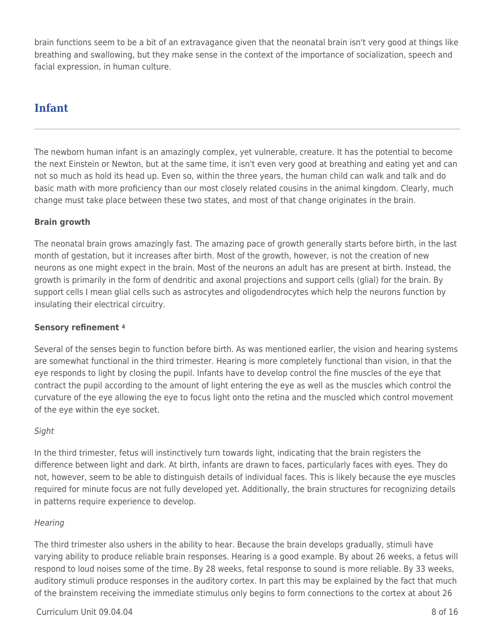brain functions seem to be a bit of an extravagance given that the neonatal brain isn't very good at things like breathing and swallowing, but they make sense in the context of the importance of socialization, speech and facial expression, in human culture.

# **Infant**

The newborn human infant is an amazingly complex, yet vulnerable, creature. It has the potential to become the next Einstein or Newton, but at the same time, it isn't even very good at breathing and eating yet and can not so much as hold its head up. Even so, within the three years, the human child can walk and talk and do basic math with more proficiency than our most closely related cousins in the animal kingdom. Clearly, much change must take place between these two states, and most of that change originates in the brain.

### **Brain growth**

The neonatal brain grows amazingly fast. The amazing pace of growth generally starts before birth, in the last month of gestation, but it increases after birth. Most of the growth, however, is not the creation of new neurons as one might expect in the brain. Most of the neurons an adult has are present at birth. Instead, the growth is primarily in the form of dendritic and axonal projections and support cells (glial) for the brain. By support cells I mean glial cells such as astrocytes and oligodendrocytes which help the neurons function by insulating their electrical circuitry.

### **Sensory refinement <sup>4</sup>**

Several of the senses begin to function before birth. As was mentioned earlier, the vision and hearing systems are somewhat functional in the third trimester. Hearing is more completely functional than vision, in that the eye responds to light by closing the pupil. Infants have to develop control the fine muscles of the eye that contract the pupil according to the amount of light entering the eye as well as the muscles which control the curvature of the eye allowing the eye to focus light onto the retina and the muscled which control movement of the eye within the eye socket.

### Sight

In the third trimester, fetus will instinctively turn towards light, indicating that the brain registers the difference between light and dark. At birth, infants are drawn to faces, particularly faces with eyes. They do not, however, seem to be able to distinguish details of individual faces. This is likely because the eye muscles required for minute focus are not fully developed yet. Additionally, the brain structures for recognizing details in patterns require experience to develop.

### **Hearing**

The third trimester also ushers in the ability to hear. Because the brain develops gradually, stimuli have varying ability to produce reliable brain responses. Hearing is a good example. By about 26 weeks, a fetus will respond to loud noises some of the time. By 28 weeks, fetal response to sound is more reliable. By 33 weeks, auditory stimuli produce responses in the auditory cortex. In part this may be explained by the fact that much of the brainstem receiving the immediate stimulus only begins to form connections to the cortex at about 26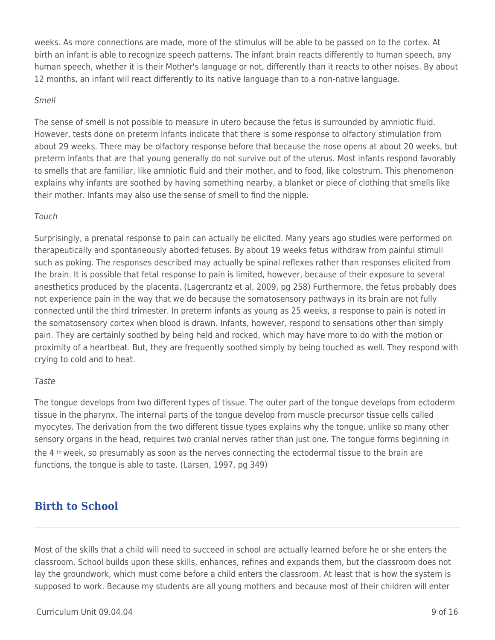weeks. As more connections are made, more of the stimulus will be able to be passed on to the cortex. At birth an infant is able to recognize speech patterns. The infant brain reacts differently to human speech, any human speech, whether it is their Mother's language or not, differently than it reacts to other noises. By about 12 months, an infant will react differently to its native language than to a non-native language.

#### Smell

The sense of smell is not possible to measure in utero because the fetus is surrounded by amniotic fluid. However, tests done on preterm infants indicate that there is some response to olfactory stimulation from about 29 weeks. There may be olfactory response before that because the nose opens at about 20 weeks, but preterm infants that are that young generally do not survive out of the uterus. Most infants respond favorably to smells that are familiar, like amniotic fluid and their mother, and to food, like colostrum. This phenomenon explains why infants are soothed by having something nearby, a blanket or piece of clothing that smells like their mother. Infants may also use the sense of smell to find the nipple.

#### Touch

Surprisingly, a prenatal response to pain can actually be elicited. Many years ago studies were performed on therapeutically and spontaneously aborted fetuses. By about 19 weeks fetus withdraw from painful stimuli such as poking. The responses described may actually be spinal reflexes rather than responses elicited from the brain. It is possible that fetal response to pain is limited, however, because of their exposure to several anesthetics produced by the placenta. (Lagercrantz et al, 2009, pg 258) Furthermore, the fetus probably does not experience pain in the way that we do because the somatosensory pathways in its brain are not fully connected until the third trimester. In preterm infants as young as 25 weeks, a response to pain is noted in the somatosensory cortex when blood is drawn. Infants, however, respond to sensations other than simply pain. They are certainly soothed by being held and rocked, which may have more to do with the motion or proximity of a heartbeat. But, they are frequently soothed simply by being touched as well. They respond with crying to cold and to heat.

#### Taste

The tongue develops from two different types of tissue. The outer part of the tongue develops from ectoderm tissue in the pharynx. The internal parts of the tongue develop from muscle precursor tissue cells called myocytes. The derivation from the two different tissue types explains why the tongue, unlike so many other sensory organs in the head, requires two cranial nerves rather than just one. The tongue forms beginning in the 4 th week, so presumably as soon as the nerves connecting the ectodermal tissue to the brain are functions, the tongue is able to taste. (Larsen, 1997, pg 349)

# **Birth to School**

Most of the skills that a child will need to succeed in school are actually learned before he or she enters the classroom. School builds upon these skills, enhances, refines and expands them, but the classroom does not lay the groundwork, which must come before a child enters the classroom. At least that is how the system is supposed to work. Because my students are all young mothers and because most of their children will enter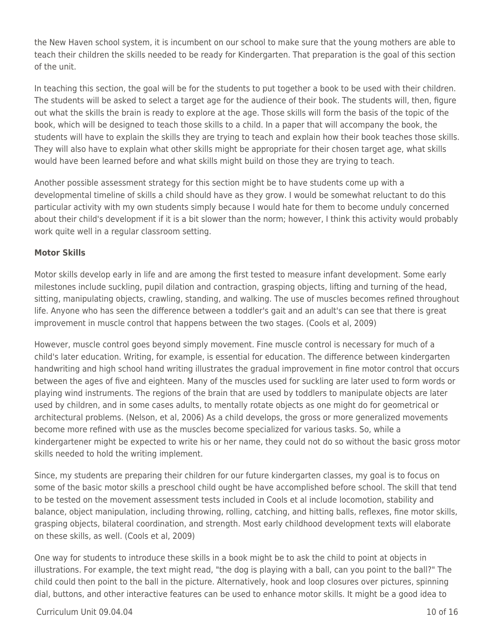the New Haven school system, it is incumbent on our school to make sure that the young mothers are able to teach their children the skills needed to be ready for Kindergarten. That preparation is the goal of this section of the unit.

In teaching this section, the goal will be for the students to put together a book to be used with their children. The students will be asked to select a target age for the audience of their book. The students will, then, figure out what the skills the brain is ready to explore at the age. Those skills will form the basis of the topic of the book, which will be designed to teach those skills to a child. In a paper that will accompany the book, the students will have to explain the skills they are trying to teach and explain how their book teaches those skills. They will also have to explain what other skills might be appropriate for their chosen target age, what skills would have been learned before and what skills might build on those they are trying to teach.

Another possible assessment strategy for this section might be to have students come up with a developmental timeline of skills a child should have as they grow. I would be somewhat reluctant to do this particular activity with my own students simply because I would hate for them to become unduly concerned about their child's development if it is a bit slower than the norm; however, I think this activity would probably work quite well in a regular classroom setting.

### **Motor Skills**

Motor skills develop early in life and are among the first tested to measure infant development. Some early milestones include suckling, pupil dilation and contraction, grasping objects, lifting and turning of the head, sitting, manipulating objects, crawling, standing, and walking. The use of muscles becomes refined throughout life. Anyone who has seen the difference between a toddler's gait and an adult's can see that there is great improvement in muscle control that happens between the two stages. (Cools et al, 2009)

However, muscle control goes beyond simply movement. Fine muscle control is necessary for much of a child's later education. Writing, for example, is essential for education. The difference between kindergarten handwriting and high school hand writing illustrates the gradual improvement in fine motor control that occurs between the ages of five and eighteen. Many of the muscles used for suckling are later used to form words or playing wind instruments. The regions of the brain that are used by toddlers to manipulate objects are later used by children, and in some cases adults, to mentally rotate objects as one might do for geometrical or architectural problems. (Nelson, et al, 2006) As a child develops, the gross or more generalized movements become more refined with use as the muscles become specialized for various tasks. So, while a kindergartener might be expected to write his or her name, they could not do so without the basic gross motor skills needed to hold the writing implement.

Since, my students are preparing their children for our future kindergarten classes, my goal is to focus on some of the basic motor skills a preschool child ought be have accomplished before school. The skill that tend to be tested on the movement assessment tests included in Cools et al include locomotion, stability and balance, object manipulation, including throwing, rolling, catching, and hitting balls, reflexes, fine motor skills, grasping objects, bilateral coordination, and strength. Most early childhood development texts will elaborate on these skills, as well. (Cools et al, 2009)

One way for students to introduce these skills in a book might be to ask the child to point at objects in illustrations. For example, the text might read, "the dog is playing with a ball, can you point to the ball?" The child could then point to the ball in the picture. Alternatively, hook and loop closures over pictures, spinning dial, buttons, and other interactive features can be used to enhance motor skills. It might be a good idea to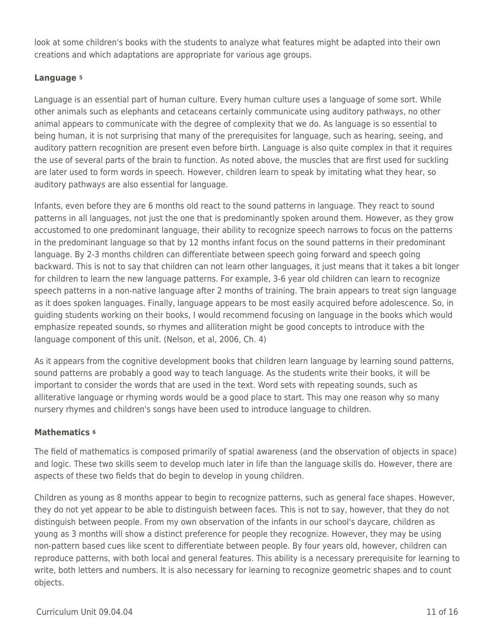look at some children's books with the students to analyze what features might be adapted into their own creations and which adaptations are appropriate for various age groups.

### **Language <sup>5</sup>**

Language is an essential part of human culture. Every human culture uses a language of some sort. While other animals such as elephants and cetaceans certainly communicate using auditory pathways, no other animal appears to communicate with the degree of complexity that we do. As language is so essential to being human, it is not surprising that many of the prerequisites for language, such as hearing, seeing, and auditory pattern recognition are present even before birth. Language is also quite complex in that it requires the use of several parts of the brain to function. As noted above, the muscles that are first used for suckling are later used to form words in speech. However, children learn to speak by imitating what they hear, so auditory pathways are also essential for language.

Infants, even before they are 6 months old react to the sound patterns in language. They react to sound patterns in all languages, not just the one that is predominantly spoken around them. However, as they grow accustomed to one predominant language, their ability to recognize speech narrows to focus on the patterns in the predominant language so that by 12 months infant focus on the sound patterns in their predominant language. By 2-3 months children can differentiate between speech going forward and speech going backward. This is not to say that children can not learn other languages, it just means that it takes a bit longer for children to learn the new language patterns. For example, 3-6 year old children can learn to recognize speech patterns in a non-native language after 2 months of training. The brain appears to treat sign language as it does spoken languages. Finally, language appears to be most easily acquired before adolescence. So, in guiding students working on their books, I would recommend focusing on language in the books which would emphasize repeated sounds, so rhymes and alliteration might be good concepts to introduce with the language component of this unit. (Nelson, et al, 2006, Ch. 4)

As it appears from the cognitive development books that children learn language by learning sound patterns, sound patterns are probably a good way to teach language. As the students write their books, it will be important to consider the words that are used in the text. Word sets with repeating sounds, such as alliterative language or rhyming words would be a good place to start. This may one reason why so many nursery rhymes and children's songs have been used to introduce language to children.

### **Mathematics <sup>6</sup>**

The field of mathematics is composed primarily of spatial awareness (and the observation of objects in space) and logic. These two skills seem to develop much later in life than the language skills do. However, there are aspects of these two fields that do begin to develop in young children.

Children as young as 8 months appear to begin to recognize patterns, such as general face shapes. However, they do not yet appear to be able to distinguish between faces. This is not to say, however, that they do not distinguish between people. From my own observation of the infants in our school's daycare, children as young as 3 months will show a distinct preference for people they recognize. However, they may be using non-pattern based cues like scent to differentiate between people. By four years old, however, children can reproduce patterns, with both local and general features. This ability is a necessary prerequisite for learning to write, both letters and numbers. It is also necessary for learning to recognize geometric shapes and to count objects.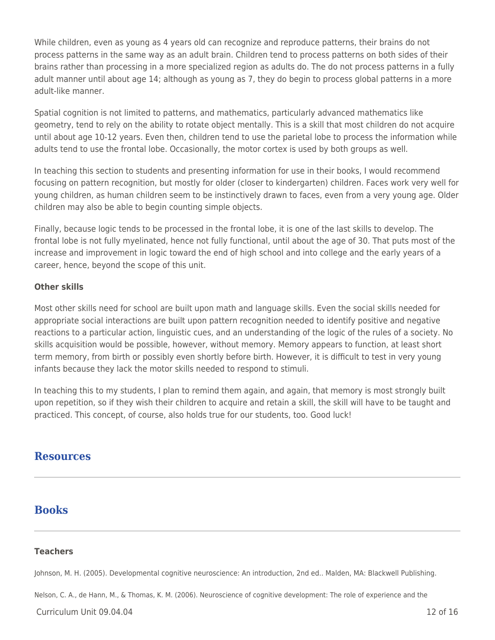While children, even as young as 4 years old can recognize and reproduce patterns, their brains do not process patterns in the same way as an adult brain. Children tend to process patterns on both sides of their brains rather than processing in a more specialized region as adults do. The do not process patterns in a fully adult manner until about age 14; although as young as 7, they do begin to process global patterns in a more adult-like manner.

Spatial cognition is not limited to patterns, and mathematics, particularly advanced mathematics like geometry, tend to rely on the ability to rotate object mentally. This is a skill that most children do not acquire until about age 10-12 years. Even then, children tend to use the parietal lobe to process the information while adults tend to use the frontal lobe. Occasionally, the motor cortex is used by both groups as well.

In teaching this section to students and presenting information for use in their books, I would recommend focusing on pattern recognition, but mostly for older (closer to kindergarten) children. Faces work very well for young children, as human children seem to be instinctively drawn to faces, even from a very young age. Older children may also be able to begin counting simple objects.

Finally, because logic tends to be processed in the frontal lobe, it is one of the last skills to develop. The frontal lobe is not fully myelinated, hence not fully functional, until about the age of 30. That puts most of the increase and improvement in logic toward the end of high school and into college and the early years of a career, hence, beyond the scope of this unit.

### **Other skills**

Most other skills need for school are built upon math and language skills. Even the social skills needed for appropriate social interactions are built upon pattern recognition needed to identify positive and negative reactions to a particular action, linguistic cues, and an understanding of the logic of the rules of a society. No skills acquisition would be possible, however, without memory. Memory appears to function, at least short term memory, from birth or possibly even shortly before birth. However, it is difficult to test in very young infants because they lack the motor skills needed to respond to stimuli.

In teaching this to my students, I plan to remind them again, and again, that memory is most strongly built upon repetition, so if they wish their children to acquire and retain a skill, the skill will have to be taught and practiced. This concept, of course, also holds true for our students, too. Good luck!

### **Resources**

### **Books**

#### **Teachers**

Johnson, M. H. (2005). Developmental cognitive neuroscience: An introduction, 2nd ed.. Malden, MA: Blackwell Publishing.

Nelson, C. A., de Hann, M., & Thomas, K. M. (2006). Neuroscience of cognitive development: The role of experience and the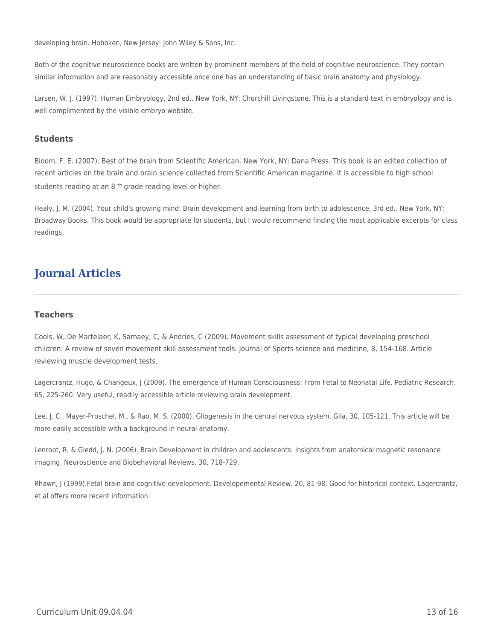developing brain. Hoboken, New Jersey: John Wiley & Sons, Inc.

Both of the cognitive neuroscience books are written by prominent members of the field of cognitive neuroscience. They contain similar information and are reasonably accessible once one has an understanding of basic brain anatomy and physiology.

Larsen, W. J. (1997). Human Embryology, 2nd ed.. New York, NY: Churchill Livingstone. This is a standard text in embryology and is well complimented by the visible embryo website.

#### **Students**

Bloom, F. E. (2007). Best of the brain from Scientific American. New York, NY: Dana Press. This book is an edited collection of recent articles on the brain and brain science collected from Scientific American magazine. It is accessible to high school students reading at an 8<sup>th</sup> grade reading level or higher.

Healy, J. M. (2004). Your child's growing mind: Brain development and learning from birth to adolescence, 3rd ed.. New York, NY: Broadway Books. This book would be appropriate for students, but I would recommend finding the most applicable excerpts for class readings.

# **Journal Articles**

#### **Teachers**

Cools, W, De Martelaer, K, Samaey, C, & Andries, C (2009). Movement skills assessment of typical developing preschool children: A review of seven movement skill assessment tools. Journal of Sports science and medicine, 8, 154-168. Article reviewing muscle development tests.

Lagercrantz, Hugo, & Changeux, J (2009). The emergence of Human Consciousness: From Fetal to Neonatal Life. Pediatric Research. 65, 225-260. Very useful, readily accessible article reviewing brain development.

Lee, J. C., Mayer-Proschel, M., & Rao, M. S. (2000). Gliogenesis in the central nervous system. Glia, 30, 105-121. This article will be more easily accessible with a background in neural anatomy.

Lenroot, R, & Giedd, J. N. (2006). Brain Development in children and adolescents: Insights from anatomical magnetic resonance imaging. Neuroscience and Biobehavioral Reviews. 30, 718-729.

Rhawn, J (1999).Fetal brain and cognitive development. Developemental Review. 20, 81-98. Good for historical context. Lagercrantz, et al offers more recent information.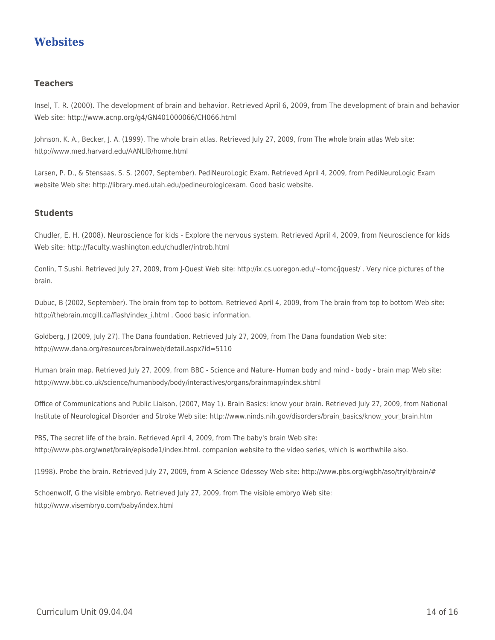## **Websites**

#### **Teachers**

Insel, T. R. (2000). The development of brain and behavior. Retrieved April 6, 2009, from The development of brain and behavior Web site: http://www.acnp.org/g4/GN401000066/CH066.html

Johnson, K. A., Becker, J. A. (1999). The whole brain atlas. Retrieved July 27, 2009, from The whole brain atlas Web site: http://www.med.harvard.edu/AANLIB/home.html

Larsen, P. D., & Stensaas, S. S. (2007, September). PediNeuroLogic Exam. Retrieved April 4, 2009, from PediNeuroLogic Exam website Web site: http://library.med.utah.edu/pedineurologicexam. Good basic website.

#### **Students**

Chudler, E. H. (2008). Neuroscience for kids - Explore the nervous system. Retrieved April 4, 2009, from Neuroscience for kids Web site: http://faculty.washington.edu/chudler/introb.html

Conlin, T Sushi. Retrieved July 27, 2009, from J-Quest Web site: http://ix.cs.uoregon.edu/~tomc/jquest/ . Very nice pictures of the brain.

Dubuc, B (2002, September). The brain from top to bottom. Retrieved April 4, 2009, from The brain from top to bottom Web site: http://thebrain.mcgill.ca/flash/index\_i.html . Good basic information.

Goldberg, J (2009, July 27). The Dana foundation. Retrieved July 27, 2009, from The Dana foundation Web site: http://www.dana.org/resources/brainweb/detail.aspx?id=5110

Human brain map. Retrieved July 27, 2009, from BBC - Science and Nature- Human body and mind - body - brain map Web site: http://www.bbc.co.uk/science/humanbody/body/interactives/organs/brainmap/index.shtml

Office of Communications and Public Liaison, (2007, May 1). Brain Basics: know your brain. Retrieved July 27, 2009, from National Institute of Neurological Disorder and Stroke Web site: http://www.ninds.nih.gov/disorders/brain\_basics/know\_your\_brain.htm

PBS, The secret life of the brain. Retrieved April 4, 2009, from The baby's brain Web site: http://www.pbs.org/wnet/brain/episode1/index.html. companion website to the video series, which is worthwhile also.

(1998). Probe the brain. Retrieved July 27, 2009, from A Science Odessey Web site: http://www.pbs.org/wgbh/aso/tryit/brain/#

Schoenwolf, G the visible embryo. Retrieved July 27, 2009, from The visible embryo Web site: http://www.visembryo.com/baby/index.html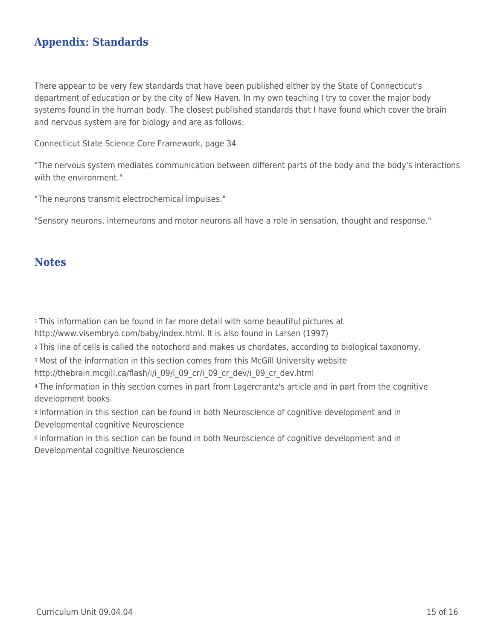## **Appendix: Standards**

There appear to be very few standards that have been published either by the State of Connecticut's department of education or by the city of New Haven. In my own teaching I try to cover the major body systems found in the human body. The closest published standards that I have found which cover the brain and nervous system are for biology and are as follows:

Connecticut State Science Core Framework, page 34

"The nervous system mediates communication between different parts of the body and the body's interactions with the environment."

"The neurons transmit electrochemical impulses."

"Sensory neurons, interneurons and motor neurons all have a role in sensation, thought and response."

### **Notes**

<sup>1</sup>This information can be found in far more detail with some beautiful pictures at

http://www.visembryo.com/baby/index.html. It is also found in Larsen (1997)

<sup>2</sup>This line of cells is called the notochord and makes us chordates, according to biological taxonomy.

<sup>3</sup>Most of the information in this section comes from this McGill University website

http://thebrain.mcgill.ca/flash/i/i\_09/i\_09\_cr/i\_09\_cr\_dev/i\_09\_cr\_dev.html

<sup>4</sup>The information in this section comes in part from Lagercrantz's article and in part from the cognitive development books.

<sup>5</sup>Information in this section can be found in both Neuroscience of cognitive development and in Developmental cognitive Neuroscience

<sup>6</sup> Information in this section can be found in both Neuroscience of cognitive development and in Developmental cognitive Neuroscience